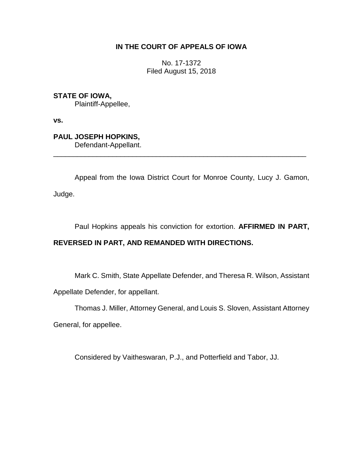# **IN THE COURT OF APPEALS OF IOWA**

No. 17-1372 Filed August 15, 2018

**STATE OF IOWA,** Plaintiff-Appellee,

**vs.**

**PAUL JOSEPH HOPKINS,** Defendant-Appellant.

Appeal from the Iowa District Court for Monroe County, Lucy J. Gamon,

\_\_\_\_\_\_\_\_\_\_\_\_\_\_\_\_\_\_\_\_\_\_\_\_\_\_\_\_\_\_\_\_\_\_\_\_\_\_\_\_\_\_\_\_\_\_\_\_\_\_\_\_\_\_\_\_\_\_\_\_\_\_\_\_

Judge.

Paul Hopkins appeals his conviction for extortion. **AFFIRMED IN PART,** 

# **REVERSED IN PART, AND REMANDED WITH DIRECTIONS.**

Mark C. Smith, State Appellate Defender, and Theresa R. Wilson, Assistant

Appellate Defender, for appellant.

Thomas J. Miller, Attorney General, and Louis S. Sloven, Assistant Attorney

General, for appellee.

Considered by Vaitheswaran, P.J., and Potterfield and Tabor, JJ.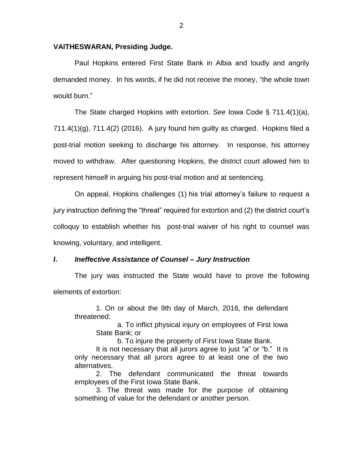## **VAITHESWARAN, Presiding Judge.**

Paul Hopkins entered First State Bank in Albia and loudly and angrily demanded money. In his words, if he did not receive the money, "the whole town would burn."

The State charged Hopkins with extortion. *See* Iowa Code § 711.4(1)(a),  $711.4(1)(g)$ ,  $711.4(2)$  (2016). A jury found him guilty as charged. Hopkins filed a post-trial motion seeking to discharge his attorney. In response, his attorney moved to withdraw. After questioning Hopkins, the district court allowed him to represent himself in arguing his post-trial motion and at sentencing.

On appeal, Hopkins challenges (1) his trial attorney's failure to request a jury instruction defining the "threat" required for extortion and (2) the district court's colloquy to establish whether his post-trial waiver of his right to counsel was knowing, voluntary, and intelligent.

### *I***.** *Ineffective Assistance of Counsel – Jury Instruction*

The jury was instructed the State would have to prove the following elements of extortion:

1. On or about the 9th day of March, 2016, the defendant threatened:

a. To inflict physical injury on employees of First Iowa State Bank; or

b. To injure the property of First Iowa State Bank.

It is not necessary that all jurors agree to just "a" or "b." It is only necessary that all jurors agree to at least one of the two alternatives.

2. The defendant communicated the threat towards employees of the First Iowa State Bank.

3. The threat was made for the purpose of obtaining something of value for the defendant or another person.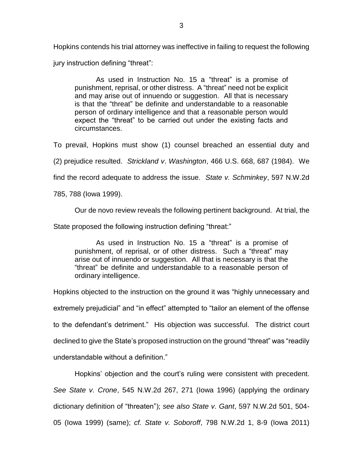Hopkins contends his trial attorney was ineffective in failing to request the following jury instruction defining "threat":

As used in Instruction No. 15 a "threat" is a promise of punishment, reprisal, or other distress. A "threat" need not be explicit and may arise out of innuendo or suggestion. All that is necessary is that the "threat" be definite and understandable to a reasonable person of ordinary intelligence and that a reasonable person would expect the "threat" to be carried out under the existing facts and circumstances.

To prevail, Hopkins must show (1) counsel breached an essential duty and

(2) prejudice resulted. *Strickland v*. *Washington*, 466 U.S. 668, 687 (1984). We

find the record adequate to address the issue. *State v. Schminkey*, 597 N.W.2d

785, 788 (Iowa 1999).

Our de novo review reveals the following pertinent background. At trial, the

State proposed the following instruction defining "threat:"

As used in Instruction No. 15 a "threat" is a promise of punishment, of reprisal, or of other distress. Such a "threat" may arise out of innuendo or suggestion. All that is necessary is that the "threat" be definite and understandable to a reasonable person of ordinary intelligence.

Hopkins objected to the instruction on the ground it was "highly unnecessary and extremely prejudicial" and "in effect" attempted to "tailor an element of the offense to the defendant's detriment." His objection was successful. The district court declined to give the State's proposed instruction on the ground "threat" was "readily understandable without a definition."

Hopkins' objection and the court's ruling were consistent with precedent. *See State v. Crone*, 545 N.W.2d 267, 271 (Iowa 1996) (applying the ordinary dictionary definition of "threaten"); *see also State v. Gant*, 597 N.W.2d 501, 504- 05 (Iowa 1999) (same); *cf. State v. Soboroff*, 798 N.W.2d 1, 8-9 (Iowa 2011)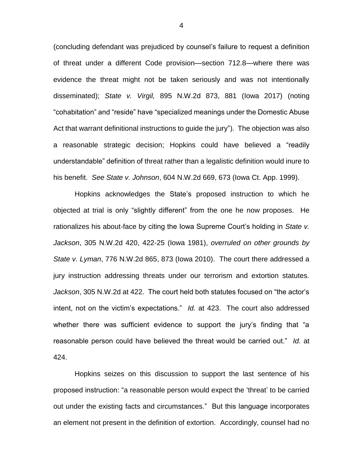(concluding defendant was prejudiced by counsel's failure to request a definition of threat under a different Code provision—section 712.8—where there was evidence the threat might not be taken seriously and was not intentionally disseminated); *State v. Virgil,* 895 N.W.2d 873, 881 (Iowa 2017) (noting "cohabitation" and "reside" have "specialized meanings under the Domestic Abuse Act that warrant definitional instructions to guide the jury"). The objection was also a reasonable strategic decision; Hopkins could have believed a "readily understandable" definition of threat rather than a legalistic definition would inure to his benefit. *See State v. Johnson*, 604 N.W.2d 669, 673 (Iowa Ct. App. 1999).

Hopkins acknowledges the State's proposed instruction to which he objected at trial is only "slightly different" from the one he now proposes. He rationalizes his about-face by citing the Iowa Supreme Court's holding in *State v. Jackson*, 305 N.W.2d 420, 422-25 (Iowa 1981), *overruled on other grounds by State v. Lyman*, 776 N.W.2d 865, 873 (Iowa 2010). The court there addressed a jury instruction addressing threats under our terrorism and extortion statutes. *Jackson*, 305 N.W.2d at 422. The court held both statutes focused on "the actor's intent, not on the victim's expectations." *Id.* at 423. The court also addressed whether there was sufficient evidence to support the jury's finding that "a reasonable person could have believed the threat would be carried out." *Id.* at 424.

Hopkins seizes on this discussion to support the last sentence of his proposed instruction: "a reasonable person would expect the 'threat' to be carried out under the existing facts and circumstances." But this language incorporates an element not present in the definition of extortion. Accordingly, counsel had no

4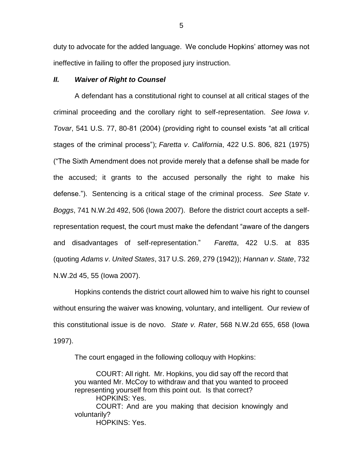duty to advocate for the added language. We conclude Hopkins' attorney was not ineffective in failing to offer the proposed jury instruction.

## *II. Waiver of Right to Counsel*

A defendant has a constitutional right to counsel at all critical stages of the criminal proceeding and the corollary right to self-representation. *See Iowa v*. *Tovar*, 541 U.S. 77, 80-81 (2004) (providing right to counsel exists "at all critical stages of the criminal process"); *Faretta v*. *California*, 422 U.S. 806, 821 (1975) ("The Sixth Amendment does not provide merely that a defense shall be made for the accused; it grants to the accused personally the right to make his defense."). Sentencing is a critical stage of the criminal process. *See State v*. *Boggs*, 741 N.W.2d 492, 506 (Iowa 2007). Before the district court accepts a selfrepresentation request, the court must make the defendant "aware of the dangers and disadvantages of self-representation." *Faretta*, 422 U.S. at 835 (quoting *Adams v*. *United States*, 317 U.S. 269, 279 (1942)); *Hannan v*. *State*, 732 N.W.2d 45, 55 (Iowa 2007).

Hopkins contends the district court allowed him to waive his right to counsel without ensuring the waiver was knowing, voluntary, and intelligent. Our review of this constitutional issue is de novo. *State v. Rater*, 568 N.W.2d 655, 658 (Iowa 1997).

The court engaged in the following colloquy with Hopkins:

COURT: All right. Mr. Hopkins, you did say off the record that you wanted Mr. McCoy to withdraw and that you wanted to proceed representing yourself from this point out. Is that correct? HOPKINS: Yes.

COURT: And are you making that decision knowingly and voluntarily?

HOPKINS: Yes.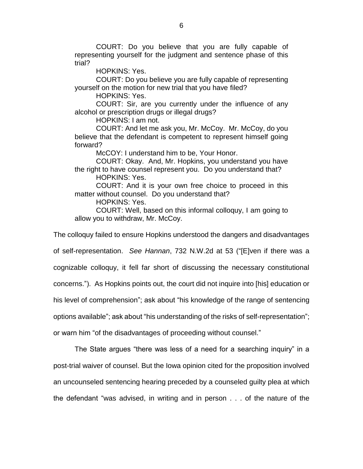COURT: Do you believe that you are fully capable of representing yourself for the judgment and sentence phase of this trial?

HOPKINS: Yes.

COURT: Do you believe you are fully capable of representing yourself on the motion for new trial that you have filed?

HOPKINS: Yes.

COURT: Sir, are you currently under the influence of any alcohol or prescription drugs or illegal drugs?

HOPKINS: I am not.

COURT: And let me ask you, Mr. McCoy. Mr. McCoy, do you believe that the defendant is competent to represent himself going forward?

McCOY: I understand him to be, Your Honor.

COURT: Okay. And, Mr. Hopkins, you understand you have the right to have counsel represent you. Do you understand that?

HOPKINS: Yes.

COURT: And it is your own free choice to proceed in this matter without counsel. Do you understand that?

HOPKINS: Yes.

COURT: Well, based on this informal colloquy, I am going to allow you to withdraw, Mr. McCoy.

The colloquy failed to ensure Hopkins understood the dangers and disadvantages

of self-representation. *See Hannan*, 732 N.W.2d at 53 ("[E]ven if there was a

cognizable colloquy, it fell far short of discussing the necessary constitutional

concerns."). As Hopkins points out, the court did not inquire into [his] education or

his level of comprehension"; ask about "his knowledge of the range of sentencing

options available"; ask about "his understanding of the risks of self-representation";

or warn him "of the disadvantages of proceeding without counsel."

The State argues "there was less of a need for a searching inquiry" in a post-trial waiver of counsel. But the Iowa opinion cited for the proposition involved an uncounseled sentencing hearing preceded by a counseled guilty plea at which the defendant "was advised, in writing and in person . . . of the nature of the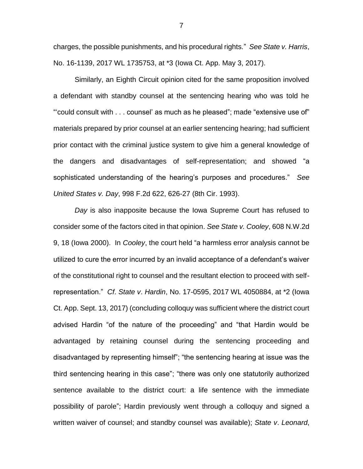charges, the possible punishments, and his procedural rights." *See State v. Harris*, No. 16-1139, 2017 WL 1735753, at \*3 (Iowa Ct. App. May 3, 2017).

Similarly, an Eighth Circuit opinion cited for the same proposition involved a defendant with standby counsel at the sentencing hearing who was told he "'could consult with . . . counsel' as much as he pleased"; made "extensive use of" materials prepared by prior counsel at an earlier sentencing hearing; had sufficient prior contact with the criminal justice system to give him a general knowledge of the dangers and disadvantages of self-representation; and showed "a sophisticated understanding of the hearing's purposes and procedures." *See United States v. Day*, 998 F.2d 622, 626-27 (8th Cir. 1993).

*Day* is also inapposite because the Iowa Supreme Court has refused to consider some of the factors cited in that opinion. *See State v. Cooley*, 608 N.W.2d 9, 18 (Iowa 2000). In *Cooley*, the court held "a harmless error analysis cannot be utilized to cure the error incurred by an invalid acceptance of a defendant's waiver of the constitutional right to counsel and the resultant election to proceed with selfrepresentation." *Cf*. *State v*. *Hardin*, No. 17-0595, 2017 WL 4050884, at \*2 (Iowa Ct. App. Sept. 13, 2017) (concluding colloquy was sufficient where the district court advised Hardin "of the nature of the proceeding" and "that Hardin would be advantaged by retaining counsel during the sentencing proceeding and disadvantaged by representing himself"; "the sentencing hearing at issue was the third sentencing hearing in this case"; "there was only one statutorily authorized sentence available to the district court: a life sentence with the immediate possibility of parole"; Hardin previously went through a colloquy and signed a written waiver of counsel; and standby counsel was available); *State v*. *Leonard*,